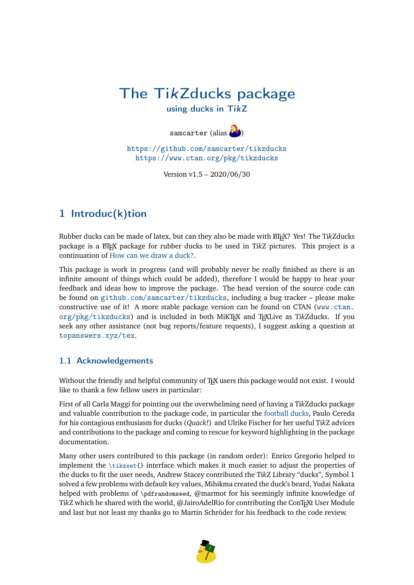## The TikZducks package

using ducks in TikZ

samcarter (alias  $\left(\right)$ )

<https://github.com/samcarter/tikzducks> <https://www.ctan.org/pkg/tikzducks>

Version v1.5 – 2020/06/30

## 1 Introduc(k)tion

Rubber ducks can be made of latex, but can they also be made with LATEX? Yes! The Ti*k*Zducks package is a LATEX package for rubber ducks to be used in Ti*k*Z pictures. This project is a continuation of How can we draw a duck?.

This package is work in progress (and will probably never be really finished as there is an infinite amount of things which could be added), therefore I would be happy to hear your feedback and ideas how to improve the package. The head version of the source code can be found on <github.com/samcarter/tikzducks>, including a bug tracker – please make constructive use of it! A more stable package version can be found on CTAN ([www.ctan.](www.ctan.org/pkg/tikzducks) [org/pkg/tikzducks](www.ctan.org/pkg/tikzducks)) and is included in both MiKTEX and TEXLive as Ti*k*Zducks. If you seek any other assistance (not bug reports/feature requests), I suggest asking a question at <topanswers.xyz/tex>.

#### 1.1 Acknowledgements

Without the friendly and helpful community of TEX users this package would not exist. I would like to thank a few fellow users in particular:

First of all Carla Maggi for pointing out the overwhelming need of having a Ti*k*Zducks package and valuable contribution to the package code, in particular the [football ducks,](#page-21-0) Paulo Cereda for his contagious enthusiasm for ducks (*Quack!*) and Ulrike Fischer for her useful Ti*k*Z advices and contributions to the package and coming to rescue for keyword highlighting in the package documentation.

Many other users contributed to this package (in random order): Enrico Gregorio helped to implement the  $\text{tikzset}\$  interface which makes it much easier to adjust the properties of the ducks to fit the user needs, Andrew Stacey contributed the Ti*k*Z Library "ducks", Symbol 1 solved a few problems with default key values, Mihikma created the duck's beard, Yudai Nakata helped with problems of \pdfrandomseed, @marmot for his seemingly infinite knowledge of TikZ which he shared with the world, @JairoAdelRio for contributing the ConTEXt User Module and last but not least my thanks go to Martin Schröder for his feedback to the code review.

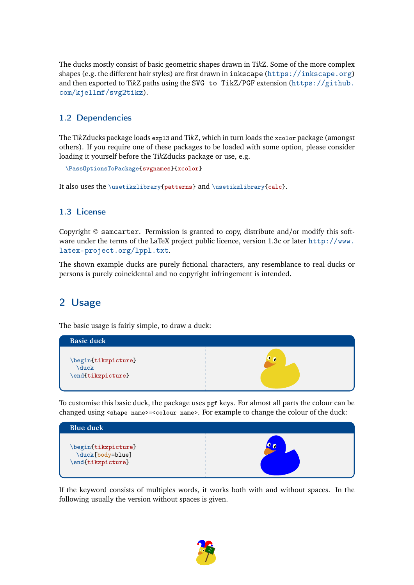<span id="page-1-0"></span>The ducks mostly consist of basic geometric shapes drawn in Ti*k*Z. Some of the more complex shapes (e.g. the different hair styles) are first drawn in inkscape (<https://inkscape.org>) and then exported to Ti*k*Z paths using the SVG to TikZ/PGF extension ([https://github.](https://github.com/kjellmf/svg2tikz) [com/kjellmf/svg2tikz](https://github.com/kjellmf/svg2tikz)).

#### 1.2 Dependencies

The Ti*k*Zducks package loads expl3 and Ti*k*Z, which in turn loads the xcolor package (amongst others). If you require one of these packages to be loaded with some option, please consider loading it yourself before the Ti*k*Zducks package or use, e.g.

```
\PassOptionsToPackage{svgnames}{xcolor}
```
It also uses the \usetikzlibrary{patterns} and \usetikzlibrary{calc}.

#### 1.3 License

Copyright  $\circledcirc$  samcarter. Permission is granted to copy, distribute and/or modify this software under the terms of the LaTeX project public licence, version 1.3c or later [http://www.](http://www.latex-project.org/lppl.txt) [latex-project.org/lppl.txt](http://www.latex-project.org/lppl.txt).

The shown example ducks are purely fictional characters, any resemblance to real ducks or persons is purely coincidental and no copyright infringement is intended.

### 2 Usage

The basic usage is fairly simple, to draw a duck:



To customise this basic duck, the package uses pgf keys. For almost all parts the colour can be changed using <shape name>=<colour name>. For example to change the colour of the duck:



If the keyword consists of multiples words, it works both with and without spaces. In the following usually the version without spaces is given.

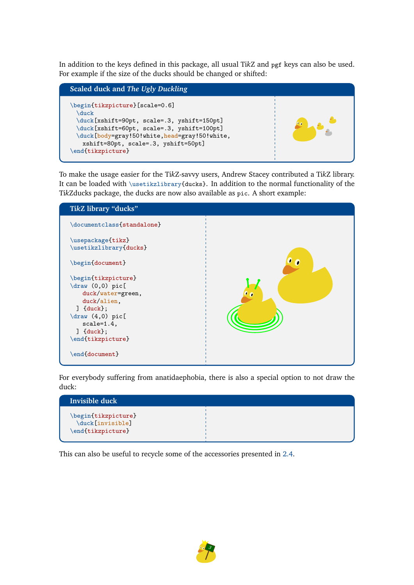<span id="page-2-0"></span>In addition to the keys defined in this package, all usual Ti*k*Z and pgf keys can also be used. For example if the size of the ducks should be changed or shifted:



To make the usage easier for the Ti*k*Z-savvy users, Andrew Stacey contributed a Ti*k*Z library. It can be loaded with \usetikzlibrary{ducks}. In addition to the normal functionality of the Ti*k*Zducks package, the ducks are now also available as pic. A short example:



For everybody suffering from anatidaephobia, there is also a special option to not draw the duck:



This can also be useful to recycle some of the accessories presented in [2.4.](#page-7-0)

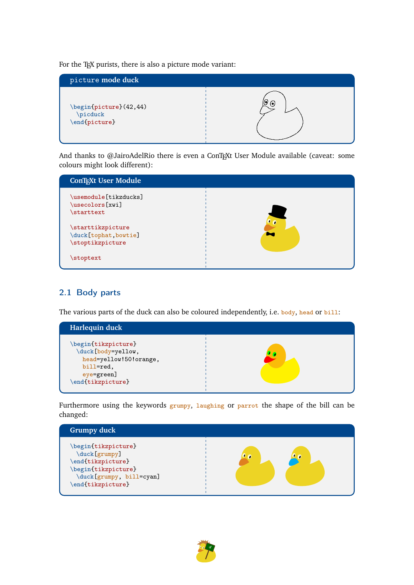<span id="page-3-0"></span>For the TEX purists, there is also a picture mode variant:



And thanks to @JairoAdelRio there is even a ConTEXt User Module available (caveat: some colours might look different):



#### 2.1 Body parts

The various parts of the duck can also be coloured independently, i.e. body, head or bill:



Furthermore using the keywords grumpy, laughing or parrot the shape of the bill can be changed:



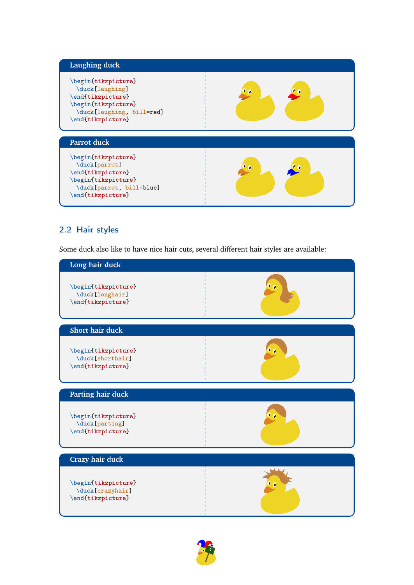<span id="page-4-0"></span>

#### 2.2 Hair styles

Some duck also like to have nice hair cuts, several different hair styles are available:

| Long hair duck                                               |  |
|--------------------------------------------------------------|--|
| \begin{tikzpicture}<br>\duck[longhair]<br>\end{tikzpicture}  |  |
| <b>Short hair duck</b>                                       |  |
| \begin{tikzpicture}<br>\duck[shorthair]<br>\end{tikzpicture} |  |
| Parting hair duck                                            |  |
| \begin{tikzpicture}<br>\duck[parting]<br>\end{tikzpicture}   |  |
| <b>Crazy hair duck</b>                                       |  |
| \begin{tikzpicture}<br>\duck[crazyhair]<br>\end{tikzpicture} |  |

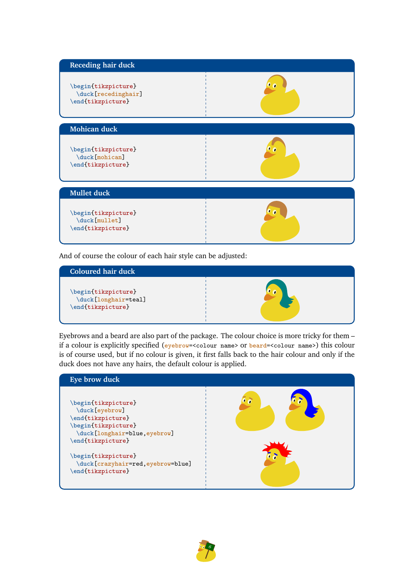<span id="page-5-0"></span>

And of course the colour of each hair style can be adjusted:



Eyebrows and a beard are also part of the package. The colour choice is more tricky for them – if a colour is explicitly specified (eyebrow=<colour name> or beard=<colour name>) this colour is of course used, but if no colour is given, it first falls back to the hair colour and only if the duck does not have any hairs, the default colour is applied.



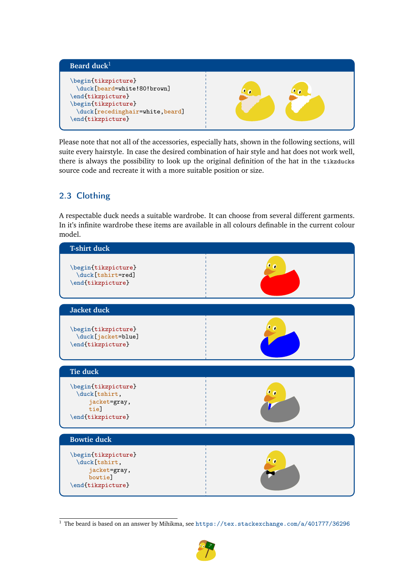<span id="page-6-0"></span>

Please note that not all of the accessories, especially hats, shown in the following sections, will suite every hairstyle. In case the desired combination of hair style and hat does not work well, there is always the possibility to look up the original definition of the hat in the tikzducks source code and recreate it with a more suitable position or size.

#### 2.3 Clothing

A respectable duck needs a suitable wardrobe. It can choose from several different garments. In it's infinite wardrobe these items are available in all colours definable in the current colour model.



 $^{\rm 1}$  The beard is based on an answer by Mihikma, see <https://tex.stackexchange.com/a/401777/36296>

7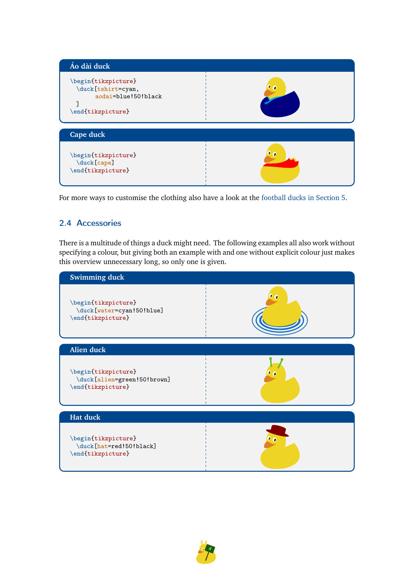<span id="page-7-1"></span>

For more ways to customise the clothing also have a look at the [football ducks in Section](#page-21-0) [5.](#page-21-0)

#### <span id="page-7-0"></span>2.4 Accessories

There is a multitude of things a duck might need. The following examples all also work without specifying a colour, but giving both an example with and one without explicit colour just makes this overview unnecessary long, so only one is given.



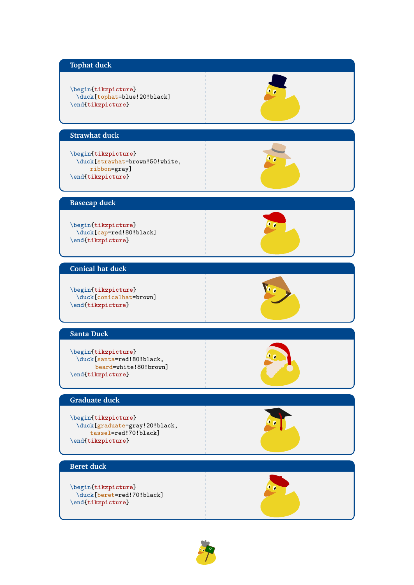## <span id="page-8-0"></span>**Tophat duck** \begin{tikzpicture} \duck[tophat=blue!20!black] \end{tikzpicture} **Strawhat duck** \begin{tikzpicture} \duck[strawhat=brown!50!white, ribbon=gray] \end{tikzpicture} **Basecap duck** \begin{tikzpicture} \duck[cap=red!80!black] \end{tikzpicture} **Conical hat duck** \begin{tikzpicture} \duck[conicalhat=brown] \end{tikzpicture} **Santa Duck** \begin{tikzpicture} \duck[santa=red!80!black, beard=white!80!brown] \end{tikzpicture} **Graduate duck** \begin{tikzpicture} \duck[graduate=gray!20!black, tassel=red!70!black] \end{tikzpicture} **Beret duck** \begin{tikzpicture} \duck[beret=red!70!black] \end{tikzpicture}

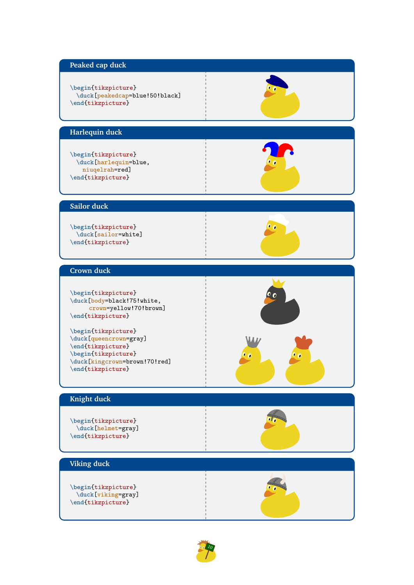#### <span id="page-9-0"></span>**Peaked cap duck**

#### \begin{tikzpicture} \duck[peakedcap=blue!50!black] \end{tikzpicture}

#### **Harlequin duck**

\begin{tikzpicture} \duck[harlequin=blue, niuqelrah=red] \end{tikzpicture}

 $\bullet$   $\bullet$ 

#### **Sailor duck**

\begin{tikzpicture} \duck[sailor=white] \end{tikzpicture}

#### **Crown duck**

\begin{tikzpicture} \duck[body=black!75!white, crown=yellow!70!brown] \end{tikzpicture}

\begin{tikzpicture} \duck[queencrown=gray] \end{tikzpicture} \begin{tikzpicture} \duck[kingcrown=brown!70!red] \end{tikzpicture}

#### **Knight duck**

\begin{tikzpicture} \duck[helmet=gray] \end{tikzpicture}

#### **Viking duck**

\begin{tikzpicture} \duck[viking=gray] \end{tikzpicture}





10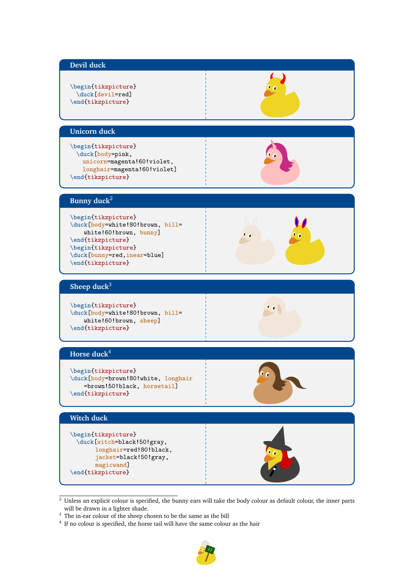<span id="page-10-0"></span>

| Devil duck                                                                                                                                                                        |    |
|-----------------------------------------------------------------------------------------------------------------------------------------------------------------------------------|----|
| \begin{tikzpicture}<br>\duck[devil=red]<br>\end{tikzpicture}                                                                                                                      |    |
| <b>Unicorn</b> duck                                                                                                                                                               |    |
| \begin{tikzpicture}<br>\duck[body=pink,<br>unicorn=magenta!60!violet,<br>longhair=magenta!60!violet]<br>\end{tikzpicture}                                                         |    |
| Bunny duck <sup>2</sup>                                                                                                                                                           |    |
| \begin{tikzpicture}<br>\duck[body=white!80!brown, bill=<br>white!60!brown, bunny]<br>\end{tikzpicture}<br>\begin{tikzpicture}<br>\duck[bunny=red,inear=blue]<br>\end{tikzpicture} |    |
| Sheep duck <sup>3</sup>                                                                                                                                                           |    |
| \begin{tikzpicture}<br>\duck[body=white!80!brown, bill=<br>white!60!brown, sheep]<br>\end{tikzpicture}                                                                            |    |
| Horse duck $4$                                                                                                                                                                    |    |
| \begin{tikzpicture}<br>\duck[body=brown!80!white, longhair<br>=brown!50!black, horsetail]<br>\end{tikzpicture}                                                                    | Co |
| <b>Witch duck</b>                                                                                                                                                                 |    |
| \begin{tikzpicture}<br>\duck[witch=black!50!gray,<br>longhair=red!80!black,<br>jacket=black!50!gray,<br>magicwand]<br>\end{tikzpicture}                                           |    |

 $2$  Unless an explicit colour is specified, the bunny ears will take the body colour as default colour, the inner parts will be drawn in a lighter shade.

 $3$  The in-ear colour of the sheep chosen to be the same as the bill  $4$  If no colour is specified, the horse tail will have the same colour as the hair

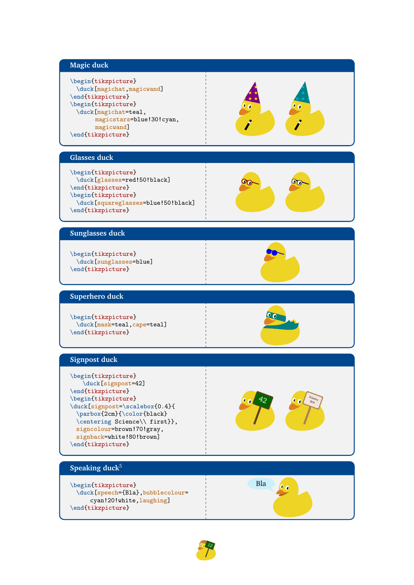#### <span id="page-11-0"></span>**Magic duck**

\begin{tikzpicture} \duck[magichat,magicwand] \end{tikzpicture} \begin{tikzpicture} \duck[magichat=teal, magicstars=blue!30!cyan, magicwand] \end{tikzpicture}



#### **Glasses duck**

\begin{tikzpicture} \duck[glasses=red!50!black] \end{tikzpicture} \begin{tikzpicture} \duck[squareglasses=blue!50!black] \end{tikzpicture}



#### **Sunglasses duck**

\begin{tikzpicture} \duck[sunglasses=blue] \end{tikzpicture}

#### **Superhero duck**

\begin{tikzpicture} \duck[mask=teal,cape=teal] \end{tikzpicture}



#### **Signpost duck**

\begin{tikzpicture} \duck[signpost=42] \end{tikzpicture} \begin{tikzpicture} \duck[signpost=\scalebox{0.4}{ \parbox{2cm}{\color{black} \centering Science\\ first}}, signcolour=brown!70!gray, signback=white!80!brown] \end{tikzpicture}



#### **Speaking duck**<sup>5</sup>

\begin{tikzpicture} \duck[speech={Bla},bubblecolour= cyan!20!white,laughing] \end{tikzpicture}



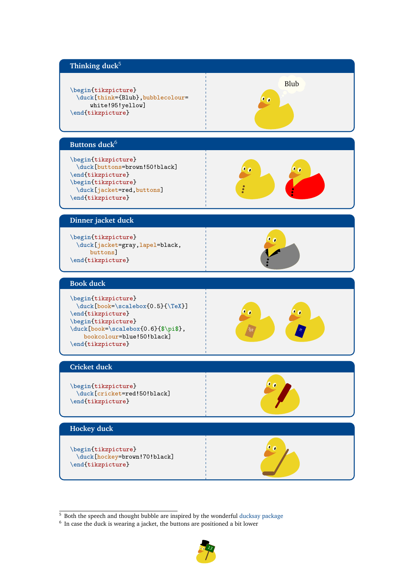<span id="page-12-0"></span>

 $\frac{5}{5}$  Both the speech and thought bubble are inspired by the wonderful [ducksay package](https://www.ctan.org/pkg/ducksay)

<sup>&</sup>lt;sup>6</sup> In case the duck is wearing a jacket, the buttons are positioned a bit lower

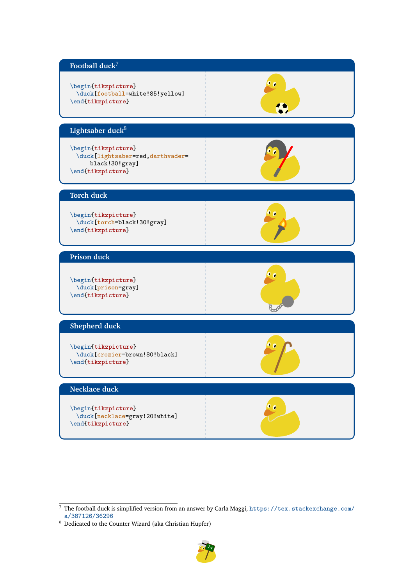<span id="page-13-0"></span>

 $^8\,$  Dedicated to the Counter Wizard (aka Christian Hupfer)



 $\frac{7}{7}$  The football duck is simplified version from an answer by Carla Maggi, [https://tex.stackexchange.com/](https://tex.stackexchange.com/a/387126/36296) [a/387126/36296](https://tex.stackexchange.com/a/387126/36296)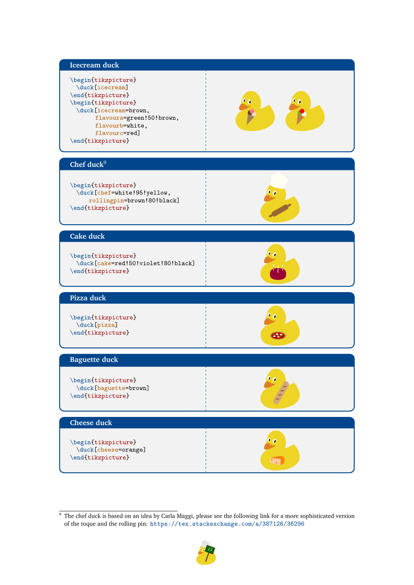#### <span id="page-14-0"></span>**Icecream duck**

\begin{tikzpicture} \duck[icecream] \end{tikzpicture} \begin{tikzpicture} \duck[icecream=brown, flavoura=green!50!brown, flavourb=white, flavourc=red] \end{tikzpicture}



#### **Chef duck**<sup>9</sup>

\begin{tikzpicture} \duck[chef=white!95!yellow, rollingpin=brown!80!black] \end{tikzpicture}



#### **Cake duck**

\begin{tikzpicture} \duck[cake=red!50!violet!80!black] \end{tikzpicture}



#### **Pizza duck**

\begin{tikzpicture} \duck[pizza] \end{tikzpicture}



 $^{\prime\hspace{-0.1cm}\bullet}$  o

88

#### **Baguette duck**

\begin{tikzpicture} \duck[baguette=brown] \end{tikzpicture}

# **Cheese duck** \begin{tikzpicture}

\duck[cheese=orange] \end{tikzpicture}

<sup>9</sup> The chef duck is based on an idea by Carla Maggi, please see the following link for a more sophisticated version of the toque and the rolling pin: <https://tex.stackexchange.com/a/387126/36296>

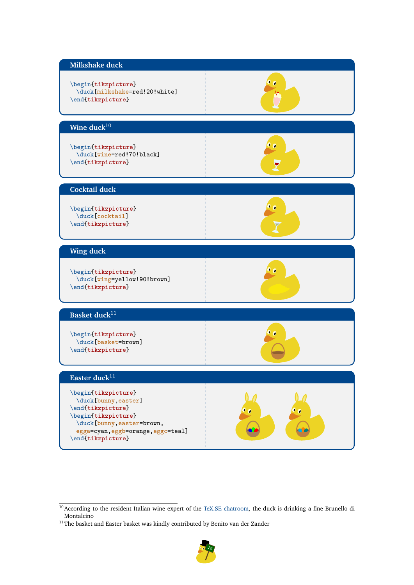<span id="page-15-0"></span>

 $^{11}\mathrm{The}$  basket and Easter basket was kindly contributed by Benito van der Zander



<sup>&</sup>lt;sup>10</sup>According to the resident Italian wine expert of the [TeX.SE chatroom,](https://chat.stackexchange.com/transcript/message/40103109) the duck is drinking a fine Brunello di Montalcino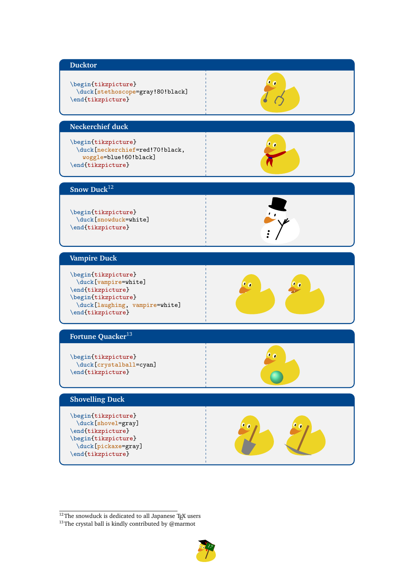<span id="page-16-0"></span>

 $12$ The snowduck is dedicated to all Japanese TEX users

 $^{13}\mathrm{The}$  crystal ball is kindly contributed by @marmot

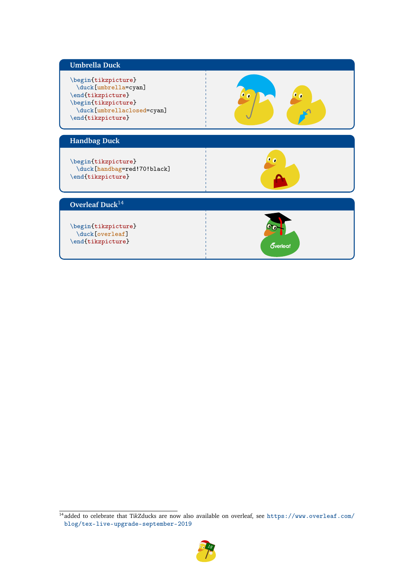<span id="page-17-0"></span>

| <b>Umbrella Duck</b>                                                                                                                       |                        |
|--------------------------------------------------------------------------------------------------------------------------------------------|------------------------|
| \begin{tikzpicture}<br>\duck[umbrella=cyan]<br>\end{tikzpicture}<br>\begin{tikzpicture}<br>\duck[umbrellaclosed=cyan]<br>\end{tikzpicture} | n<br>ø                 |
| <b>Handbag Duck</b>                                                                                                                        |                        |
| \begin{tikzpicture}<br>\duck[handbag=red!70!black]<br>\end{tikzpicture}                                                                    |                        |
| Overleaf Duck <sup>14</sup>                                                                                                                |                        |
| \begin{tikzpicture}<br>\duck[overleaf]<br>\end{tikzpicture}                                                                                | <b><u>Overleaf</u></b> |

<sup>14</sup> added to celebrate that Ti*k*Zducks are now also available on overleaf, see [https://www.overleaf.com/](https://www.overleaf.com/blog/tex-live-upgrade-september-2019) [blog/tex-live-upgrade-september-2019](https://www.overleaf.com/blog/tex-live-upgrade-september-2019)

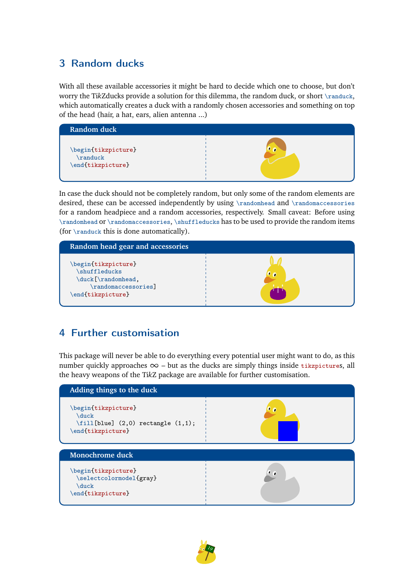## 3 Random ducks

With all these available accessories it might be hard to decide which one to choose, but don't worry the Ti*k*Zducks provide a solution for this dilemma, the random duck, or short \randuck, which automatically creates a duck with a randomly chosen accessories and something on top of the head (hair, a hat, ears, alien antenna ...)



In case the duck should not be completely random, but only some of the random elements are desired, these can be accessed independently by using \randomhead and \randomaccessories for a random headpiece and a random accessories, respectively. Small caveat: Before using \randomhead or \randomaccessories, \shuffleducks has to be used to provide the random items (for \randuck this is done automatically).



## 4 Further customisation

This package will never be able to do everything every potential user might want to do, as this number quickly approaches  $\infty$  – but as the ducks are simply things inside tikzpictures, all the heavy weapons of the Ti*k*Z package are available for further customisation.



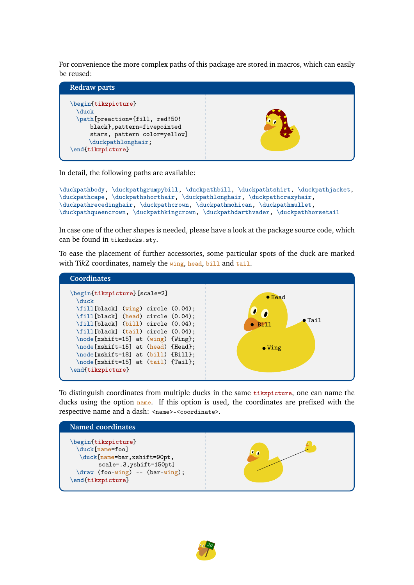<span id="page-19-0"></span>For convenience the more complex paths of this package are stored in macros, which can easily be reused:



In detail, the following paths are available:

```
\duckpathbody, \duckpathgrumpybill, \duckpathbill, \duckpathtshirt, \duckpathjacket,
\duckpathcape, \duckpathshorthair, \duckpathlonghair, \duckpathcrazyhair,
\duckpathrecedinghair, \duckpathcrown, \duckpathmohican, \duckpathmullet,
\duckpathqueencrown, \duckpathkingcrown, \duckpathdarthvader, \duckpathhorsetail
```
In case one of the other shapes is needed, please have a look at the package source code, which can be found in tikzducks.sty.

To ease the placement of further accessories, some particular spots of the duck are marked with TikZ coordinates, namely the wing, head, bill and tail.



To distinguish coordinates from multiple ducks in the same tikzpicture, one can name the ducks using the option name. If this option is used, the coordinates are prefixed with the respective name and a dash: <name>-<coordinate>.



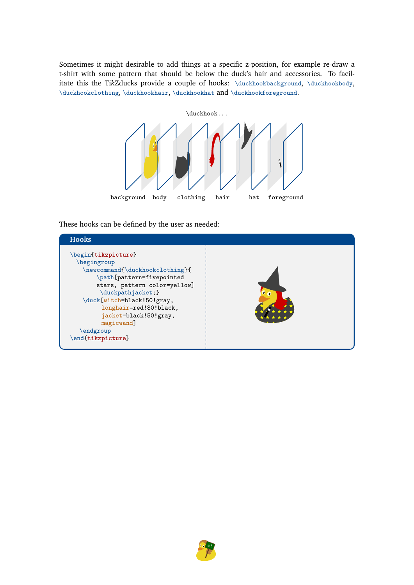<span id="page-20-0"></span>Sometimes it might desirable to add things at a specific z-position, for example re-draw a t-shirt with some pattern that should be below the duck's hair and accessories. To facilitate this the TikZducks provide a couple of hooks: \duckhookbackground, \duckhookbody, \duckhookclothing, \duckhookhair, \duckhookhat and \duckhookforeground.



These hooks can be defined by the user as needed:



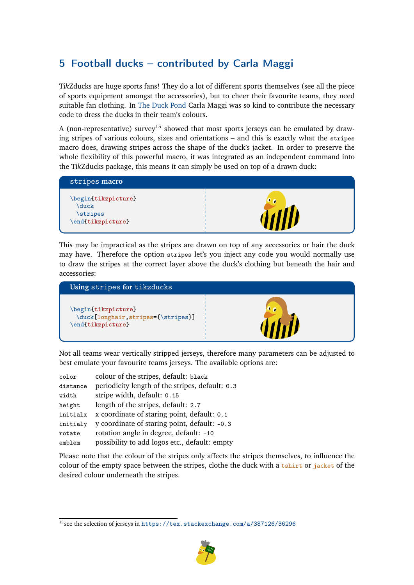## <span id="page-21-1"></span><span id="page-21-0"></span>5 Football ducks – contributed by Carla Maggi

Ti*k*Zducks are huge sports fans! They do a lot of different sports themselves (see all the piece of sports equipment amongst the accessories), but to cheer their favourite teams, they need suitable fan clothing. In [The Duck Pond](https://tex.stackexchange.com/a/387126/36296) Carla Maggi was so kind to contribute the necessary code to dress the ducks in their team's colours.

A (non-representative) survey<sup>15</sup> showed that most sports jerseys can be emulated by drawing stripes of various colours, sizes and orientations – and this is exactly what the stripes macro does, drawing stripes across the shape of the duck's jacket. In order to preserve the whole flexibility of this powerful macro, it was integrated as an independent command into the Ti*k*Zducks package, this means it can simply be used on top of a drawn duck:



This may be impractical as the stripes are drawn on top of any accessories or hair the duck may have. Therefore the option stripes let's you inject any code you would normally use to draw the stripes at the correct layer above the duck's clothing but beneath the hair and accessories:



Not all teams wear vertically stripped jerseys, therefore many parameters can be adjusted to best emulate your favourite teams jerseys. The available options are:

| color    | colour of the stripes, default: black           |
|----------|-------------------------------------------------|
| distance | periodicity length of the stripes, default: 0.3 |
| width    | stripe width, default: 0.15                     |
| height   | length of the stripes, default: 2.7             |
| initialx | x coordinate of staring point, default: 0.1     |
| initialy | y coordinate of staring point, default: -0.3    |
| rotate   | rotation angle in degree, default: -10          |
| emblem   | possibility to add logos etc., default: empty   |

Please note that the colour of the stripes only affects the stripes themselves, to influence the colour of the empty space between the stripes, clothe the duck with a tshirt or jacket of the desired colour underneath the stripes.

<sup>15</sup> see the selection of jerseys in <https://tex.stackexchange.com/a/387126/36296>

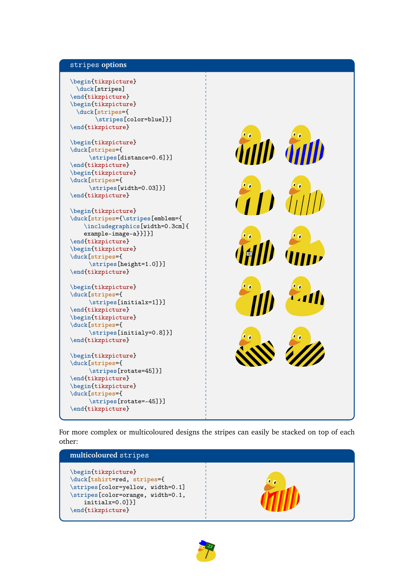#### stripes **options**

```
\begin{tikzpicture}
 \duck[stripes]
\end{tikzpicture}
\begin{tikzpicture}
 \duck[stripes={
       \stripes[color=blue]}]
\end{tikzpicture}
\begin{tikzpicture}
\duck[stripes={
     \stripes[distance=0.6]}]
\end{tikzpicture}
\begin{tikzpicture}
\duck[stripes={
     \stripes[width=0.03]}]
\end{tikzpicture}
\begin{tikzpicture}
\duct[strings={\strut\scriptsize\hspace{6pt}$\strut}\includegraphics[width=0.3cm]{
    example-image-a}}]}]
\end{tikzpicture}
\begin{tikzpicture}
\duck[stripes={
     \stripes[height=1.0]}]
\end{tikzpicture}
\begin{tikzpicture}
\duck[stripes={
     \stripes[initialx=1]}]
\end{tikzpicture}
\begin{tikzpicture}
\duck[stripes={
     \stripes[initialy=0.8]}]
\end{tikzpicture}
\begin{tikzpicture}
\duck[stripes={
     \stripes[rotate=45]}]
\end{tikzpicture}
\begin{tikzpicture}
\duck[stripes={
     \stripes[rotate=-45]}]
\end{tikzpicture}
                                                    A
```
For more complex or multicoloured designs the stripes can easily be stacked on top of each other:



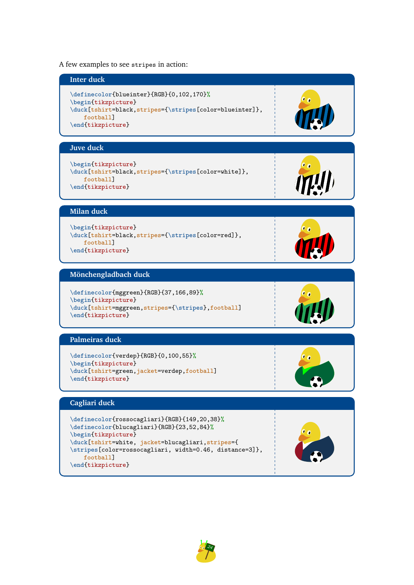<span id="page-23-0"></span>A few examples to see stripes in action:



\end{tikzpicture}

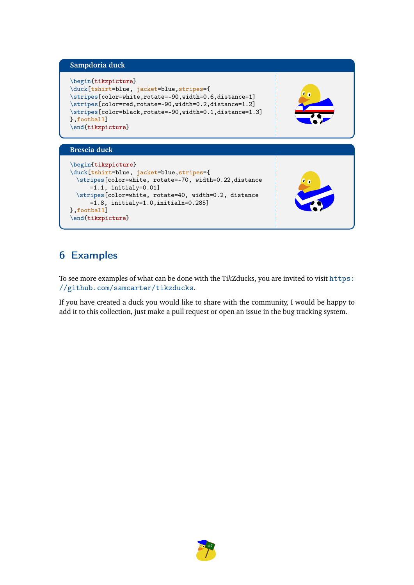#### <span id="page-24-0"></span>**Sampdoria duck**

```
\begin{tikzpicture}
\duck[tshirt=blue, jacket=blue,stripes={
\stripes[color=white,rotate=-90,width=0.6,distance=1]
\stripes[color=red,rotate=-90,width=0.2,distance=1.2]
\stripes[color=black,rotate=-90,width=0.1,distance=1.3]
},football]
\end{tikzpicture}
```
#### **Brescia duck**

```
\begin{tikzpicture}
\duck[tshirt=blue, jacket=blue,stripes={
 \stripes[color=white, rotate=-70, width=0.22,distance
     =1.1, initialy=0.01]
 \stripes[color=white, rotate=40, width=0.2, distance
     =1.8, initialy=1.0,initialx=0.285]
},football]
\end{tikzpicture}
```
## 6 Examples

To see more examples of what can be done with the Ti*k*Zducks, you are invited to visit [https:](https://github.com/samcarter/tikzducks) [//github.com/samcarter/tikzducks](https://github.com/samcarter/tikzducks).

If you have created a duck you would like to share with the community, I would be happy to add it to this collection, just make a pull request or open an issue in the bug tracking system.